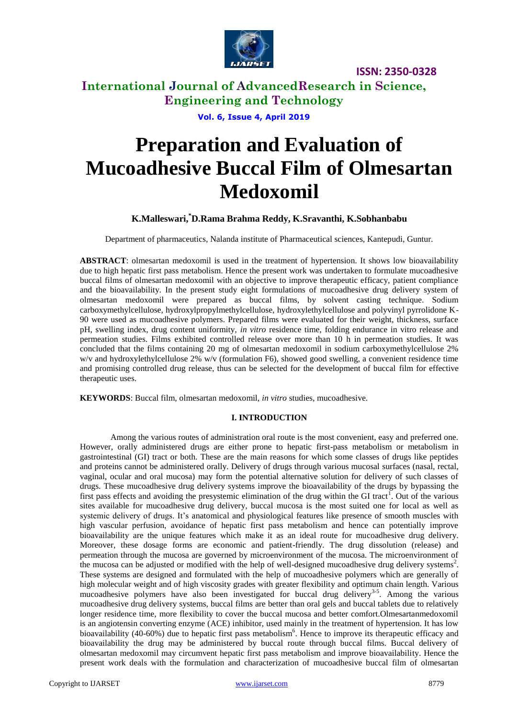

### **International Journal of AdvancedResearch in Science, Engineering and Technology**

**Vol. 6, Issue 4, April 2019**

# **Preparation and Evaluation of Mucoadhesive Buccal Film of Olmesartan Medoxomil**

### **K.Malleswari,\*D.Rama Brahma Reddy, K.Sravanthi, K.Sobhanbabu**

Department of pharmaceutics, Nalanda institute of Pharmaceutical sciences, Kantepudi, Guntur.

**ABSTRACT**: olmesartan medoxomil is used in the treatment of hypertension. It shows low bioavailability due to high hepatic first pass metabolism. Hence the present work was undertaken to formulate mucoadhesive buccal films of olmesartan medoxomil with an objective to improve therapeutic efficacy, patient compliance and the bioavailability. In the present study eight formulations of mucoadhesive drug delivery system of olmesartan medoxomil were prepared as buccal films, by solvent casting technique. Sodium carboxymethylcellulose, hydroxylpropylmethylcellulose, hydroxylethylcellulose and polyvinyl pyrrolidone K-90 were used as mucoadhesive polymers. Prepared films were evaluated for their weight, thickness, surface pH, swelling index, drug content uniformity, *in vitro* residence time, folding endurance in vitro release and permeation studies. Films exhibited controlled release over more than 10 h in permeation studies. It was concluded that the films containing 20 mg of olmesartan medoxomil in sodium carboxymethylcellulose 2% w/v and hydroxylethylcellulose 2% w/v (formulation F6), showed good swelling, a convenient residence time and promising controlled drug release, thus can be selected for the development of buccal film for effective therapeutic uses.

**KEYWORDS**: Buccal film, olmesartan medoxomil, *in vitro* studies, mucoadhesive.

#### **I. INTRODUCTION**

Among the various routes of administration oral route is the most convenient, easy and preferred one. However, orally administered drugs are either prone to hepatic first-pass metabolism or metabolism in gastrointestinal (GI) tract or both. These are the main reasons for which some classes of drugs like peptides and proteins cannot be administered orally. Delivery of drugs through various mucosal surfaces (nasal, rectal, vaginal, ocular and oral mucosa) may form the potential alternative solution for delivery of such classes of drugs. These mucoadhesive drug delivery systems improve the bioavailability of the drugs by bypassing the first pass effects and avoiding the presystemic elimination of the drug within the GI tract<sup>1</sup>. Out of the various sites available for mucoadhesive drug delivery, buccal mucosa is the most suited one for local as well as systemic delivery of drugs. It's anatomical and physiological features like presence of smooth muscles with high vascular perfusion, avoidance of hepatic first pass metabolism and hence can potentially improve bioavailability are the unique features which make it as an ideal route for mucoadhesive drug delivery. Moreover, these dosage forms are economic and patient-friendly. The drug dissolution (release) and permeation through the mucosa are governed by microenvironment of the mucosa. The microenvironment of the mucosa can be adjusted or modified with the help of well-designed mucoadhesive drug delivery systems<sup>2</sup>. These systems are designed and formulated with the help of mucoadhesive polymers which are generally of high molecular weight and of high viscosity grades with greater flexibility and optimum chain length. Various mucoadhesive polymers have also been investigated for buccal drug delivery<sup>3-5</sup>. Among the various mucoadhesive drug delivery systems, buccal films are better than oral gels and buccal tablets due to relatively longer residence time, more flexibility to cover the buccal mucosa and better comfort.Olmesartanmedoxomil is an angiotensin converting enzyme (ACE) inhibitor, used mainly in the treatment of hypertension. It has low bioavailability (40-60%) due to hepatic first pass metabolism<sup>6</sup>. Hence to improve its therapeutic efficacy and bioavailability the drug may be administered by buccal route through buccal films. Buccal delivery of olmesartan medoxomil may circumvent hepatic first pass metabolism and improve bioavailability. Hence the present work deals with the formulation and characterization of mucoadhesive buccal film of olmesartan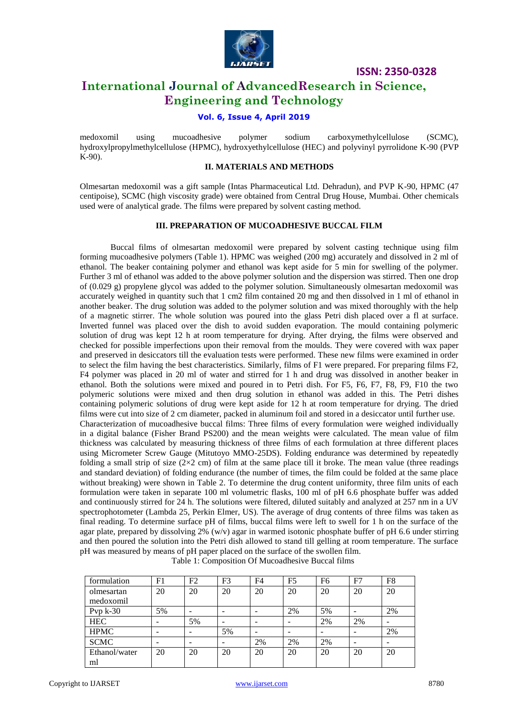

### **International Journal of AdvancedResearch in Science, Engineering and Technology**

### **Vol. 6, Issue 4, April 2019**

medoxomil using mucoadhesive polymer sodium carboxymethylcellulose (SCMC), hydroxylpropylmethylcellulose (HPMC), hydroxyethylcellulose (HEC) and polyvinyl pyrrolidone K-90 (PVP K-90).

#### **II. MATERIALS AND METHODS**

Olmesartan medoxomil was a gift sample (Intas Pharmaceutical Ltd. Dehradun), and PVP K-90, HPMC (47 centipoise), SCMC (high viscosity grade) were obtained from Central Drug House, Mumbai. Other chemicals used were of analytical grade. The films were prepared by solvent casting method.

### **III. PREPARATION OF MUCOADHESIVE BUCCAL FILM**

Buccal films of olmesartan medoxomil were prepared by solvent casting technique using film forming mucoadhesive polymers (Table 1). HPMC was weighed (200 mg) accurately and dissolved in 2 ml of ethanol. The beaker containing polymer and ethanol was kept aside for 5 min for swelling of the polymer. Further 3 ml of ethanol was added to the above polymer solution and the dispersion was stirred. Then one drop of (0.029 g) propylene glycol was added to the polymer solution. Simultaneously olmesartan medoxomil was accurately weighed in quantity such that 1 cm2 film contained 20 mg and then dissolved in 1 ml of ethanol in another beaker. The drug solution was added to the polymer solution and was mixed thoroughly with the help of a magnetic stirrer. The whole solution was poured into the glass Petri dish placed over a fl at surface. Inverted funnel was placed over the dish to avoid sudden evaporation. The mould containing polymeric solution of drug was kept 12 h at room temperature for drying. After drying, the films were observed and checked for possible imperfections upon their removal from the moulds. They were covered with wax paper and preserved in desiccators till the evaluation tests were performed. These new films were examined in order to select the film having the best characteristics. Similarly, films of F1 were prepared. For preparing films F2, F4 polymer was placed in 20 ml of water and stirred for 1 h and drug was dissolved in another beaker in ethanol. Both the solutions were mixed and poured in to Petri dish. For F5, F6, F7, F8, F9, F10 the two polymeric solutions were mixed and then drug solution in ethanol was added in this. The Petri dishes containing polymeric solutions of drug were kept aside for 12 h at room temperature for drying. The dried films were cut into size of 2 cm diameter, packed in aluminum foil and stored in a desiccator until further use. Characterization of mucoadhesive buccal films: Three films of every formulation were weighed individually in a digital balance (Fisher Brand PS200) and the mean weights were calculated. The mean value of film thickness was calculated by measuring thickness of three films of each formulation at three different places using Micrometer Screw Gauge (Mitutoyo MMO-25DS). Folding endurance was determined by repeatedly folding a small strip of size  $(2\times2$  cm) of film at the same place till it broke. The mean value (three readings and standard deviation) of folding endurance (the number of times, the film could be folded at the same place without breaking) were shown in Table 2. To determine the drug content uniformity, three film units of each formulation were taken in separate 100 ml volumetric flasks, 100 ml of pH 6.6 phosphate buffer was added and continuously stirred for 24 h. The solutions were filtered, diluted suitably and analyzed at 257 nm in a UV spectrophotometer (Lambda 25, Perkin Elmer, US). The average of drug contents of three films was taken as final reading. To determine surface pH of films, buccal films were left to swell for 1 h on the surface of the agar plate, prepared by dissolving 2% (w/v) agar in warmed isotonic phosphate buffer of pH 6.6 under stirring and then poured the solution into the Petri dish allowed to stand till gelling at room temperature. The surface pH was measured by means of pH paper placed on the surface of the swollen film.

| formulation   | F1                       | F2 | F3 | F4 | F <sub>5</sub> | F <sub>6</sub> | F7 | F8                       |
|---------------|--------------------------|----|----|----|----------------|----------------|----|--------------------------|
| olmesartan    | 20                       | 20 | 20 | 20 | 20             | 20             | 20 | 20                       |
| medoxomil     |                          |    |    |    |                |                |    |                          |
| Pvp $k-30$    | 5%                       |    |    |    | 2%             | 5%             |    | 2%                       |
| <b>HEC</b>    | -                        | 5% | -  |    |                | 2%             | 2% |                          |
| <b>HPMC</b>   | -                        |    | 5% | -  | -              |                |    | 2%                       |
| <b>SCMC</b>   | $\overline{\phantom{0}}$ |    |    | 2% | 2%             | 2%             |    | $\overline{\phantom{0}}$ |
| Ethanol/water | 20                       | 20 | 20 | 20 | 20             | 20             | 20 | 20                       |
| ml            |                          |    |    |    |                |                |    |                          |

Table 1: Composition Of Mucoadhesive Buccal films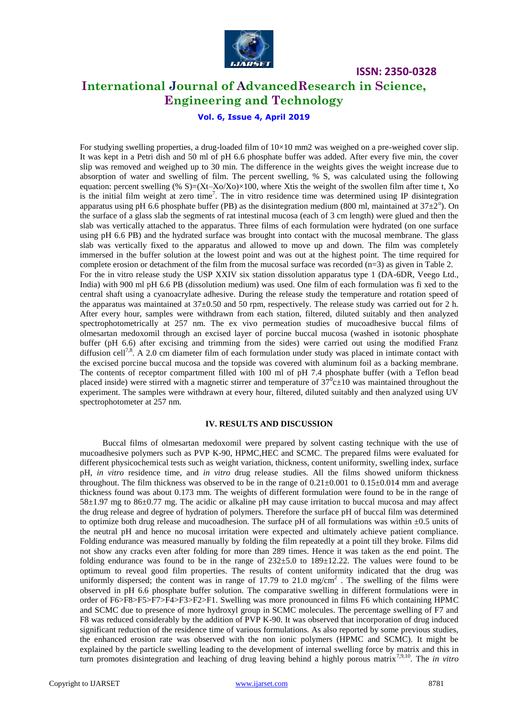

### **International Journal of AdvancedResearch in Science, Engineering and Technology**

**Vol. 6, Issue 4, April 2019**

For studying swelling properties, a drug-loaded film of  $10\times10$  mm2 was weighed on a pre-weighed cover slip. It was kept in a Petri dish and 50 ml of pH 6.6 phosphate buffer was added. After every five min, the cover slip was removed and weighed up to 30 min. The difference in the weights gives the weight increase due to absorption of water and swelling of film. The percent swelling, % S, was calculated using the following equation: percent swelling (%  $S=(Xt-Xo/Xo)\times100$ , where Xtis the weight of the swollen film after time t, Xo is the initial film weight at zero time<sup>7</sup>. The in vitro residence time was determined using IP disintegration apparatus using pH 6.6 phosphate buffer (PB) as the disintegration medium (800 ml, maintained at  $37\pm2^{\circ}$ ). On the surface of a glass slab the segments of rat intestinal mucosa (each of 3 cm length) were glued and then the slab was vertically attached to the apparatus. Three films of each formulation were hydrated (on one surface using pH 6.6 PB) and the hydrated surface was brought into contact with the mucosal membrane. The glass slab was vertically fixed to the apparatus and allowed to move up and down. The film was completely immersed in the buffer solution at the lowest point and was out at the highest point. The time required for complete erosion or detachment of the film from the mucosal surface was recorded  $(n=3)$  as given in Table 2. For the in vitro release study the USP XXIV six station dissolution apparatus type 1 (DA-6DR, Veego Ltd., India) with 900 ml pH 6.6 PB (dissolution medium) was used. One film of each formulation was fi xed to the central shaft using a cyanoacrylate adhesive. During the release study the temperature and rotation speed of the apparatus was maintained at  $37\pm0.50$  and 50 rpm, respectively. The release study was carried out for 2 h. After every hour, samples were withdrawn from each station, filtered, diluted suitably and then analyzed spectrophotometrically at 257 nm. The ex vivo permeation studies of mucoadhesive buccal films of olmesartan medoxomil through an excised layer of porcine buccal mucosa (washed in isotonic phosphate buffer (pH 6.6) after excising and trimming from the sides) were carried out using the modified Franz diffusion cell<sup>7,8</sup>. A 2.0 cm diameter film of each formulation under study was placed in intimate contact with the excised porcine buccal mucosa and the topside was covered with aluminum foil as a backing membrane. The contents of receptor compartment filled with 100 ml of pH 7.4 phosphate buffer (with a Teflon bead placed inside) were stirred with a magnetic stirrer and temperature of  $37^{\circ}$ c $\pm$ 10 was maintained throughout the experiment. The samples were withdrawn at every hour, filtered, diluted suitably and then analyzed using UV spectrophotometer at 257 nm.

#### **IV. RESULTS AND DISCUSSION**

Buccal films of olmesartan medoxomil were prepared by solvent casting technique with the use of mucoadhesive polymers such as PVP K-90, HPMC,HEC and SCMC. The prepared films were evaluated for different physicochemical tests such as weight variation, thickness, content uniformity, swelling index, surface pH, *in vitro* residence time, and *in vitro* drug release studies. All the films showed uniform thickness throughout. The film thickness was observed to be in the range of  $0.21\pm0.001$  to  $0.15\pm0.014$  mm and average thickness found was about 0.173 mm. The weights of different formulation were found to be in the range of 58±1.97 mg to 86±0.77 mg. The acidic or alkaline pH may cause irritation to buccal mucosa and may affect the drug release and degree of hydration of polymers. Therefore the surface pH of buccal film was determined to optimize both drug release and mucoadhesion. The surface pH of all formulations was within ±0.5 units of the neutral pH and hence no mucosal irritation were expected and ultimately achieve patient compliance. Folding endurance was measured manually by folding the film repeatedly at a point till they broke. Films did not show any cracks even after folding for more than 289 times. Hence it was taken as the end point. The folding endurance was found to be in the range of 232±5.0 to 189±12.22. The values were found to be optimum to reveal good film properties. The results of content uniformity indicated that the drug was uniformly dispersed; the content was in range of 17.79 to 21.0  $mg/cm<sup>2</sup>$ . The swelling of the films were observed in pH 6.6 phosphate buffer solution. The comparative swelling in different formulations were in order of F6>F8>F5>F7>F4>F3>F2>F1. Swelling was more pronounced in films F6 which containing HPMC and SCMC due to presence of more hydroxyl group in SCMC molecules. The percentage swelling of F7 and F8 was reduced considerably by the addition of PVP K-90. It was observed that incorporation of drug induced significant reduction of the residence time of various formulations. As also reported by some previous studies, the enhanced erosion rate was observed with the non ionic polymers (HPMC and SCMC). It might be explained by the particle swelling leading to the development of internal swelling force by matrix and this in turn promotes disintegration and leaching of drug leaving behind a highly porous matrix<sup>7,9,10</sup>. The *in vitro*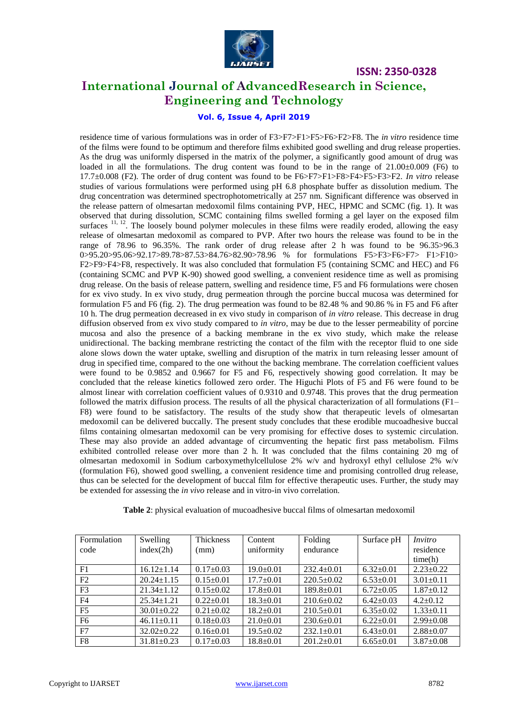

### **International Journal of AdvancedResearch in Science, Engineering and Technology**

### **Vol. 6, Issue 4, April 2019**

residence time of various formulations was in order of F3>F7>F1>F5>F6>F2>F8. The *in vitro* residence time of the films were found to be optimum and therefore films exhibited good swelling and drug release properties. As the drug was uniformly dispersed in the matrix of the polymer, a significantly good amount of drug was loaded in all the formulations. The drug content was found to be in the range of  $21.00\pm0.009$  (F6) to 17.7±0.008 (F2). The order of drug content was found to be F6>F7>F1>F8>F4>F5>F3>F2. *In vitro* release studies of various formulations were performed using pH 6.8 phosphate buffer as dissolution medium. The drug concentration was determined spectrophotometrically at 257 nm. Significant difference was observed in the release pattern of olmesartan medoxomil films containing PVP, HEC, HPMC and SCMC (fig. 1). It was observed that during dissolution, SCMC containing films swelled forming a gel layer on the exposed film surfaces <sup>11, 12</sup>. The loosely bound polymer molecules in these films were readily eroded, allowing the easy release of olmesartan medoxomil as compared to PVP. After two hours the release was found to be in the range of 78.96 to 96.35%. The rank order of drug release after 2 h was found to be 96.35>96.3 0>95.20>95.06>92.17>89.78>87.53>84.76>82.90>78.96 % for formulations F5>F3>F6>F7> F1>F10> F2>F9>F4>F8, respectively. It was also concluded that formulation F5 (containing SCMC and HEC) and F6 (containing SCMC and PVP K-90) showed good swelling, a convenient residence time as well as promising drug release. On the basis of release pattern, swelling and residence time, F5 and F6 formulations were chosen for ex vivo study. In ex vivo study, drug permeation through the porcine buccal mucosa was determined for formulation F5 and F6 (fig. 2). The drug permeation was found to be 82.48 % and 90.86 % in F5 and F6 after 10 h. The drug permeation decreased in ex vivo study in comparison of *in vitro* release. This decrease in drug diffusion observed from ex vivo study compared to *in vitro*, may be due to the lesser permeability of porcine mucosa and also the presence of a backing membrane in the ex vivo study, which make the release unidirectional. The backing membrane restricting the contact of the film with the receptor fluid to one side alone slows down the water uptake, swelling and disruption of the matrix in turn releasing lesser amount of drug in specified time, compared to the one without the backing membrane. The correlation coefficient values were found to be 0.9852 and 0.9667 for F5 and F6, respectively showing good correlation. It may be concluded that the release kinetics followed zero order. The Higuchi Plots of F5 and F6 were found to be almost linear with correlation coefficient values of 0.9310 and 0.9748. This proves that the drug permeation followed the matrix diffusion process. The results of all the physical characterization of all formulations (F1– F8) were found to be satisfactory. The results of the study show that therapeutic levels of olmesartan medoxomil can be delivered buccally. The present study concludes that these erodible mucoadhesive buccal films containing olmesartan medoxomil can be very promising for effective doses to systemic circulation. These may also provide an added advantage of circumventing the hepatic first pass metabolism. Films exhibited controlled release over more than 2 h. It was concluded that the films containing 20 mg of olmesartan medoxomil in Sodium carboxymethylcellulose 2% w/v and hydroxyl ethyl cellulose 2% w/v (formulation F6), showed good swelling, a convenient residence time and promising controlled drug release, thus can be selected for the development of buccal film for effective therapeutic uses. Further, the study may be extended for assessing the *in vivo* release and in vitro-in vivo correlation.

| Formulation<br>code | Swelling<br>index(2h) | Thickness<br>(mm) | Content<br>uniformity | Folding<br>endurance | Surface pH      | Invitro<br>residence |
|---------------------|-----------------------|-------------------|-----------------------|----------------------|-----------------|----------------------|
|                     |                       |                   |                       |                      |                 | time(h)              |
| F1                  | $16.12 \pm 1.14$      | $0.17 \pm 0.03$   | $19.0 \pm 0.01$       | $232.4 \pm 0.01$     | $6.32 \pm 0.01$ | $2.23 \pm 0.22$      |
| F2                  | $20.24 \pm 1.15$      | $0.15 \pm 0.01$   | $17.7 \pm 0.01$       | $220.5+0.02$         | $6.53 \pm 0.01$ | $3.01 \pm 0.11$      |
| F <sub>3</sub>      | $21.34 \pm 1.12$      | $0.15 \pm 0.02$   | $17.8 \pm 0.01$       | $189.8 \pm 0.01$     | $6.72 \pm 0.05$ | $1.87 \pm 0.12$      |
| F <sub>4</sub>      | $25.34 \pm 1.21$      | $0.22+0.01$       | $18.3 \pm 0.01$       | $210.6 \pm 0.02$     | $6.42+0.03$     | $4.2+0.12$           |
| F <sub>5</sub>      | $30.01 \pm 0.22$      | $0.21 \pm 0.02$   | $18.2 \pm 0.01$       | $210.5 \pm 0.01$     | $6.35 \pm 0.02$ | $1.33 \pm 0.11$      |
| F <sub>6</sub>      | $46.11 \pm 0.11$      | $0.18 \pm 0.03$   | $21.0+0.01$           | $230.6 \pm 0.01$     | $6.22+0.01$     | $2.99 \pm 0.08$      |
| F7                  | $32.02 \pm 0.22$      | $0.16 \pm 0.01$   | $19.5 \pm 0.02$       | $232.1 \pm 0.01$     | $6.43 \pm 0.01$ | $2.88 \pm 0.07$      |
| F8                  | $31.81 \pm 0.23$      | $0.17 \pm 0.03$   | $18.8 \pm 0.01$       | $201.2 \pm 0.01$     | $6.65 \pm 0.01$ | $3.87 \pm 0.08$      |

**Table 2**: physical evaluation of mucoadhesive buccal films of olmesartan medoxomil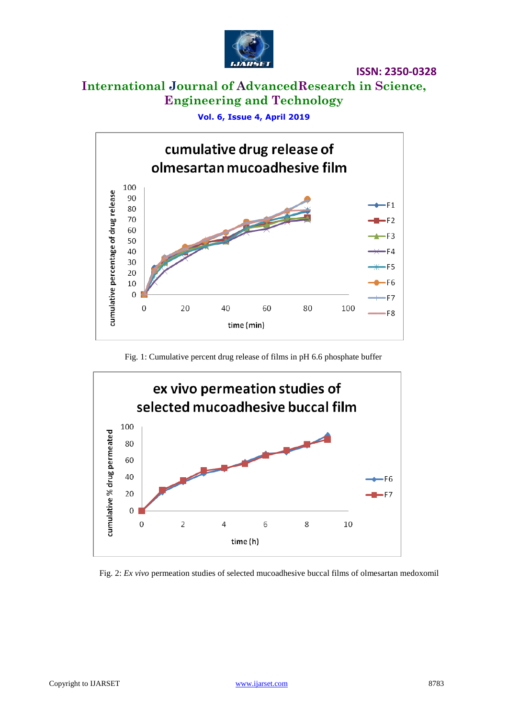

## **International Journal of AdvancedResearch in Science, Engineering and Technology**

**Vol. 6, Issue 4, April 2019**



Fig. 1: Cumulative percent drug release of films in pH 6.6 phosphate buffer



Fig. 2: *Ex vivo* permeation studies of selected mucoadhesive buccal films of olmesartan medoxomil